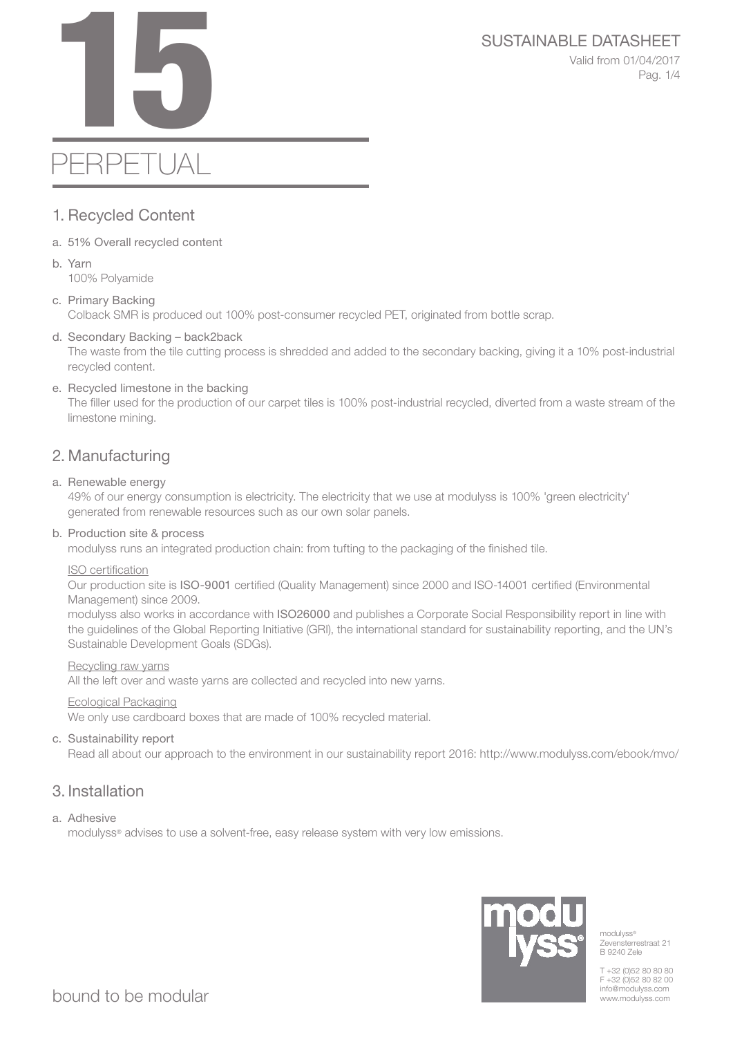# SUSTAINABLE DATASHEET<br>Valid from 01/04/2017<br>Pag. 1/4

Valid from 01/04/2017 Pag. 1/4

# PERPETUAL

# 1. Recycled Content

- a. 51% Overall recycled content
- b. Yarn 100% Polyamide
- c. Primary Backing Colback SMR is produced out 100% post-consumer recycled PET, originated from bottle scrap.

# d. Secondary Backing – back2back

The waste from the tile cutting process is shredded and added to the secondary backing, giving it a 10% post-industrial recycled content.

# e. Recycled limestone in the backing

The filler used for the production of our carpet tiles is 100% post-industrial recycled, diverted from a waste stream of the limestone mining.

# 2. Manufacturing

# a. Renewable energy

49% of our energy consumption is electricity. The electricity that we use at modulyss is 100% 'green electricity' generated from renewable resources such as our own solar panels.

## b. Production site & process

modulyss runs an integrated production chain: from tufting to the packaging of the finished tile.

## ISO certification

Our production site is ISO-9001 certified (Quality Management) since 2000 and ISO-14001 certified (Environmental Management) since 2009.

modulyss also works in accordance with ISO26000 and publishes a Corporate Social Responsibility report in line with the guidelines of the Global Reporting Initiative (GRI), the international standard for sustainability reporting, and the UN's Sustainable Development Goals (SDGs).

## Recycling raw yarns

All the left over and waste yarns are collected and recycled into new yarns.

## Ecological Packaging

We only use cardboard boxes that are made of 100% recycled material.

# c. Sustainability report

Read all about our approach to the environment in our sustainability report 2016: http://www.modulyss.com/ebook/mvo/

# 3. Installation

# a. Adhesive

modulyss® advises to use a solvent-free, easy release system with very low emissions.



modulyss<sup>®</sup> Zevensterrestraat 21 B 9240 Zele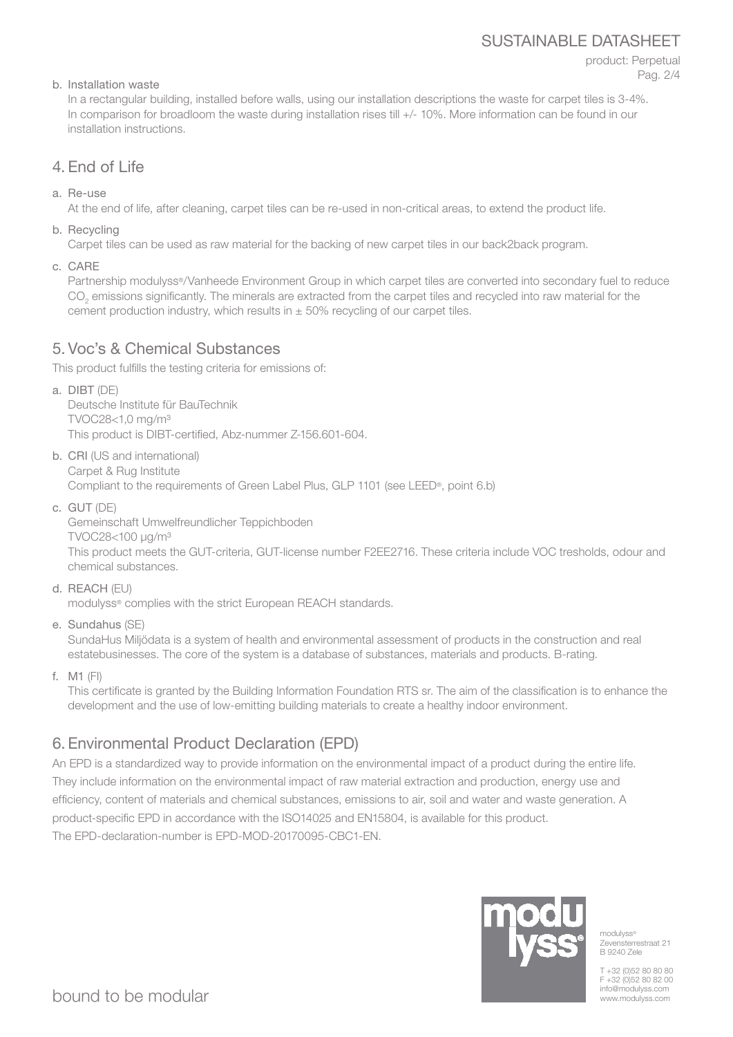# SUSTAINABLE DATASHEET

# product: Perpetual Pag. 2/4

# b. Installation waste

In a rectangular building, installed before walls, using our installation descriptions the waste for carpet tiles is 3-4%. In comparison for broadloom the waste during installation rises till +/- 10%. More information can be found in our installation instructions.

# 4. End of Life

a. Re-use

At the end of life, after cleaning, carpet tiles can be re-used in non-critical areas, to extend the product life.

b. Recycling

Carpet tiles can be used as raw material for the backing of new carpet tiles in our back2back program.

c. CARE

Partnership modulyss®/Vanheede Environment Group in which carpet tiles are converted into secondary fuel to reduce  $\mathrm{CO}_2$  emissions significantly. The minerals are extracted from the carpet tiles and recycled into raw material for the cement production industry, which results in  $\pm$  50% recycling of our carpet tiles.

# 5. Voc's & Chemical Substances

This product fulfills the testing criteria for emissions of:

a. DIBT (DE)

Deutsche Institute für BauTechnik TVOC28<1,0 mg/m³ This product is DIBT-certified, Abz-nummer Z-156.601-604.

b. CRI (US and international) Carpet & Rug Institute

Compliant to the requirements of Green Label Plus, GLP 1101 (see LEED®, point 6.b)

c. GUT (DE)

Gemeinschaft Umwelfreundlicher Teppichboden TVOC28<100 μg/m³

This product meets the GUT-criteria, GUT-license number F2EE2716. These criteria include VOC tresholds, odour and chemical substances.

d. REACH (EU)

modulyss® complies with the strict European REACH standards.

e. Sundahus (SE)

SundaHus Miljödata is a system of health and environmental assessment of products in the construction and real estatebusinesses. The core of the system is a database of substances, materials and products. B-rating.

f. M1 (FI)

This certificate is granted by the Building Information Foundation RTS sr. The aim of the classification is to enhance the development and the use of low-emitting building materials to create a healthy indoor environment.

# 6. Environmental Product Declaration (EPD)

An EPD is a standardized way to provide information on the environmental impact of a product during the entire life. They include information on the environmental impact of raw material extraction and production, energy use and efficiency, content of materials and chemical substances, emissions to air, soil and water and waste generation. A product-specific EPD in accordance with the ISO14025 and EN15804, is available for this product. The EPD-declaration-number is EPD-MOD-20170095-CBC1-EN.



modulyss<sup>®</sup> Zevensterrestraat 21 B 9240 Zele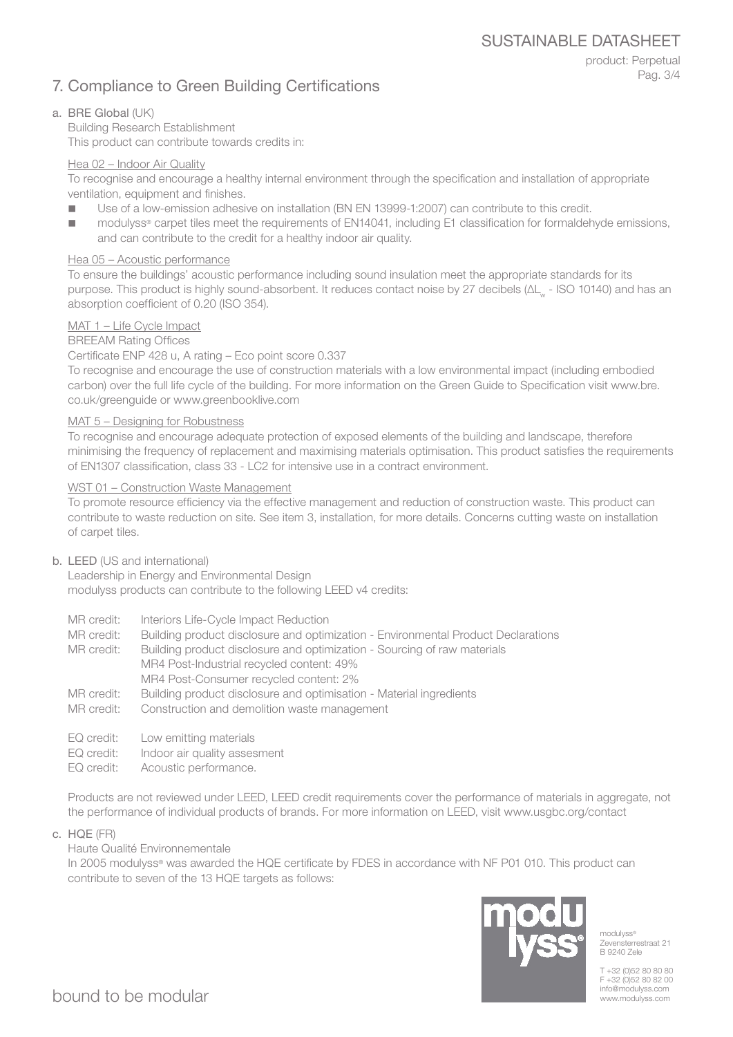# 7. Compliance to Green Building Certifications

product: Perpetual Pag. 3/4

# a. BRE Global (UK)

Building Research Establishment This product can contribute towards credits in:

### Hea 02 – Indoor Air Quality

To recognise and encourage a healthy internal environment through the specification and installation of appropriate ventilation, equipment and finishes.

- Use of a low-emission adhesive on installation (BN EN 13999-1:2007) can contribute to this credit.
- modulyss<sup>®</sup> carpet tiles meet the requirements of EN14041, including E1 classification for formaldehyde emissions, and can contribute to the credit for a healthy indoor air quality.

### Hea 05 – Acoustic performance

To ensure the buildings' acoustic performance including sound insulation meet the appropriate standards for its purpose. This product is highly sound-absorbent. It reduces contact noise by 27 decibels (ΔL<sub>w</sub> - ISO 10140) and has an absorption coefficient of 0.20 (ISO 354).

## MAT 1 – Life Cycle Impact

BREEAM Rating Offices

### Certificate ENP 428 u, A rating – Eco point score 0.337

To recognise and encourage the use of construction materials with a low environmental impact (including embodied carbon) over the full life cycle of the building. For more information on the Green Guide to Specification visit www.bre. co.uk/greenguide or www.greenbooklive.com

### MAT 5 – Designing for Robustness

To recognise and encourage adequate protection of exposed elements of the building and landscape, therefore minimising the frequency of replacement and maximising materials optimisation. This product satisfies the requirements of EN1307 classification, class 33 - LC2 for intensive use in a contract environment.

### WST 01 – Construction Waste Management

To promote resource efficiency via the effective management and reduction of construction waste. This product can contribute to waste reduction on site. See item 3, installation, for more details. Concerns cutting waste on installation of carpet tiles.

### b. LEED (US and international)

Leadership in Energy and Environmental Design modulyss products can contribute to the following LEED v4 credits:

- MR credit: Interiors Life-Cycle Impact Reduction
- MR credit: Building product disclosure and optimization Environmental Product Declarations

MR credit: Building product disclosure and optimization - Sourcing of raw materials MR4 Post-Industrial recycled content: 49% MR4 Post-Consumer recycled content: 2%

- MR credit: Building product disclosure and optimisation Material ingredients
- MR credit: Construction and demolition waste management
- EQ credit: Low emitting materials
- EQ credit: Indoor air quality assesment
- EQ credit: Acoustic performance.

Products are not reviewed under LEED, LEED credit requirements cover the performance of materials in aggregate, not the performance of individual products of brands. For more information on LEED, visit www.usgbc.org/contact

c. HQE (FR)

Haute Qualité Environnementale

In 2005 modulyss® was awarded the HQE certificate by FDES in accordance with NF P01 010. This product can contribute to seven of the 13 HQE targets as follows:



modulyss® Zevensterrestraat 21 B 9240 Zele